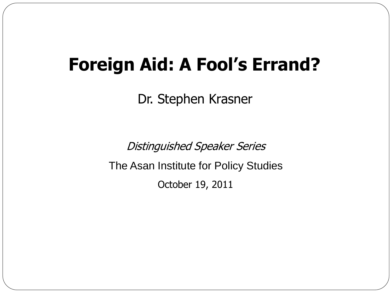# **Foreign Aid: A Fool's Errand?**

Dr. Stephen Krasner

Distinguished Speaker Series

The Asan Institute for Policy Studies

October 19, 2011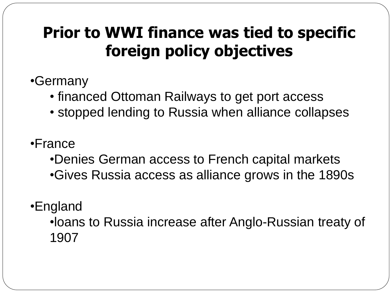## **Prior to WWI finance was tied to specific foreign policy objectives**

- •Germany
	- financed Ottoman Railways to get port access
	- stopped lending to Russia when alliance collapses
- •France
	- •Denies German access to French capital markets
	- •Gives Russia access as alliance grows in the 1890s
- •England

•loans to Russia increase after Anglo-Russian treaty of 1907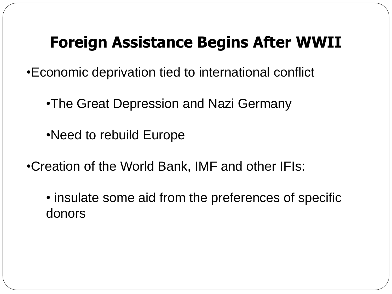### **Foreign Assistance Begins After WWII**

•Economic deprivation tied to international conflict

•The Great Depression and Nazi Germany

•Need to rebuild Europe

•Creation of the World Bank, IMF and other IFIs:

• insulate some aid from the preferences of specific donors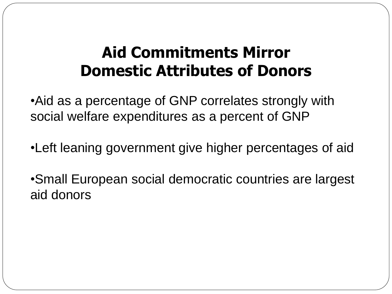### **Aid Commitments Mirror Domestic Attributes of Donors**

•Aid as a percentage of GNP correlates strongly with social welfare expenditures as a percent of GNP

•Left leaning government give higher percentages of aid

•Small European social democratic countries are largest aid donors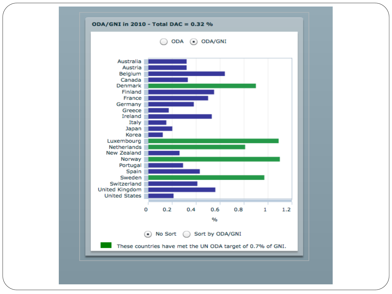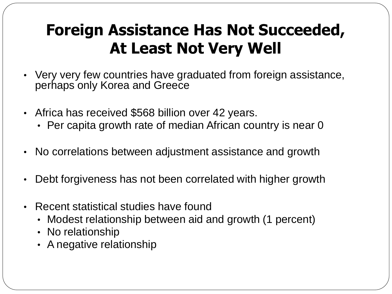## **Foreign Assistance Has Not Succeeded, At Least Not Very Well**

- Very very few countries have graduated from foreign assistance, perhaps only Korea and Greece
- Africa has received \$568 billion over 42 years.
	- Per capita growth rate of median African country is near 0
- No correlations between adjustment assistance and growth
- Debt forgiveness has not been correlated with higher growth
- Recent statistical studies have found
	- Modest relationship between aid and growth (1 percent)
	- No relationship
	- A negative relationship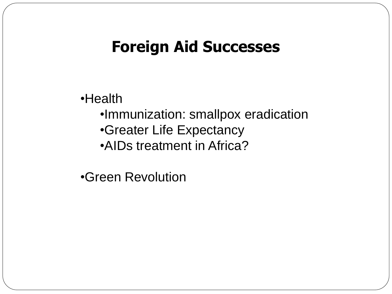### **Foreign Aid Successes**

•Health

•Immunization: smallpox eradication

•Greater Life Expectancy

•AIDs treatment in Africa?

•Green Revolution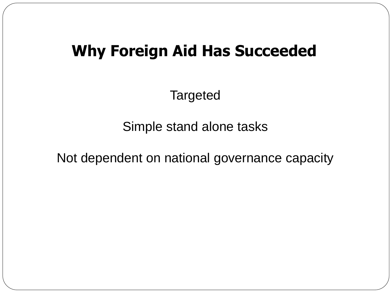### **Why Foreign Aid Has Succeeded**

**Targeted** 

Simple stand alone tasks

Not dependent on national governance capacity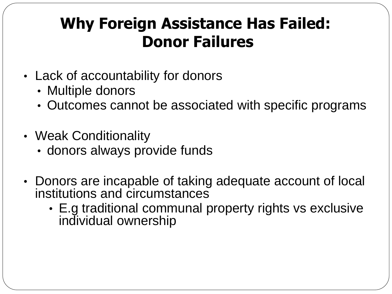## **Why Foreign Assistance Has Failed: Donor Failures**

- Lack of accountability for donors
	- Multiple donors
	- Outcomes cannot be associated with specific programs
- Weak Conditionality
	- donors always provide funds
- Donors are incapable of taking adequate account of local institutions and circumstances
	- E.g traditional communal property rights vs exclusive individual ownership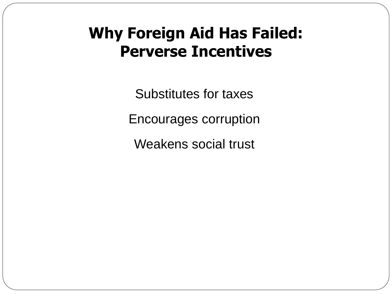### **Why Foreign Aid Has Failed: Perverse Incentives**

Substitutes for taxes Encourages corruption

Weakens social trust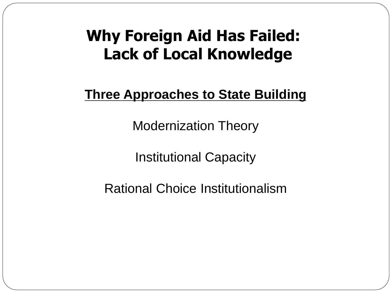### **Why Foreign Aid Has Failed: Lack of Local Knowledge**

#### **Three Approaches to State Building**

Modernization Theory

Institutional Capacity

Rational Choice Institutionalism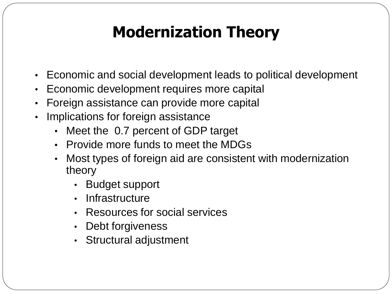## **Modernization Theory**

- Economic and social development leads to political development
- Economic development requires more capital
- Foreign assistance can provide more capital
- Implications for foreign assistance
	- Meet the 0.7 percent of GDP target
	- Provide more funds to meet the MDGs
	- Most types of foreign aid are consistent with modernization theory
		- Budget support
		- Infrastructure
		- Resources for social services
		- Debt forgiveness
		- Structural adjustment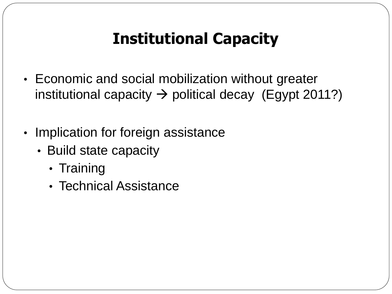## **Institutional Capacity**

- Economic and social mobilization without greater institutional capacity  $\rightarrow$  political decay (Egypt 2011?)
- Implication for foreign assistance
	- Build state capacity
		- Training
		- Technical Assistance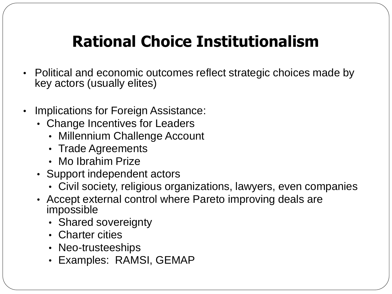# **Rational Choice Institutionalism**

- Political and economic outcomes reflect strategic choices made by key actors (usually elites)
- Implications for Foreign Assistance:
	- Change Incentives for Leaders
		- Millennium Challenge Account
		- Trade Agreements
		- Mo Ibrahim Prize
	- Support independent actors
		- Civil society, religious organizations, lawyers, even companies
	- Accept external control where Pareto improving deals are impossible
		- Shared sovereignty
		- Charter cities
		- Neo-trusteeships
		- Examples: RAMSI, GEMAP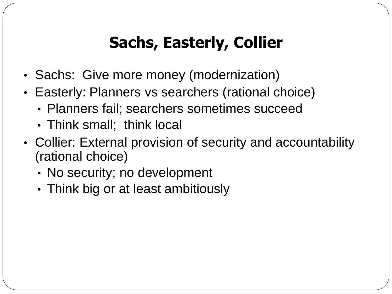## **Sachs, Easterly, Collier**

- Sachs: Give more money (modernization)
- Easterly: Planners vs searchers (rational choice)
	- Planners fail; searchers sometimes succeed
	- Think small; think local
- Collier: External provision of security and accountability (rational choice)
	- No security; no development
	- Think big or at least ambitiously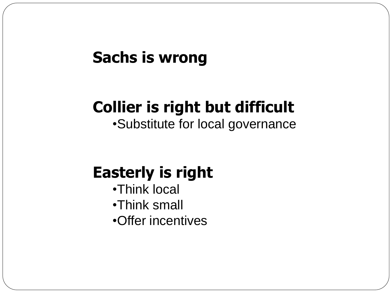### **Sachs is wrong**

## **Collier is right but difficult**

•Substitute for local governance

## **Easterly is right**

- •Think local
- •Think small
- •Offer incentives